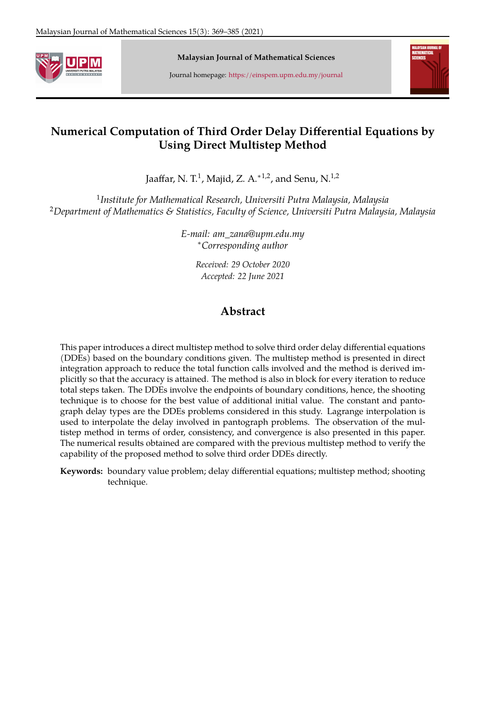

**Malaysian Journal of Mathematical Sciences**

Journal homepage: <https://einspem.upm.edu.my/journal>



# <span id="page-0-0"></span>**Numerical Computation of Third Order Delay Differential Equations by Using Direct Multistep Method**

Jaaffar, N. T. $^1$ , Majid, Z. A. $^{\ast\,1,2}$ , and Senu, N. $^{1,2}$ 

1 *Institute for Mathematical Research, Universiti Putra Malaysia, Malaysia* <sup>2</sup>*Department of Mathematics & Statistics, Faculty of Science, Universiti Putra Malaysia, Malaysia*

> *E-mail: am\_zana@upm.edu.my* <sup>∗</sup>*Corresponding author*

> > *Received: 29 October 2020 Accepted: 22 June 2021*

# **Abstract**

This paper introduces a direct multistep method to solve third order delay differential equations (DDEs) based on the boundary conditions given. The multistep method is presented in direct integration approach to reduce the total function calls involved and the method is derived implicitly so that the accuracy is attained. The method is also in block for every iteration to reduce total steps taken. The DDEs involve the endpoints of boundary conditions, hence, the shooting technique is to choose for the best value of additional initial value. The constant and pantograph delay types are the DDEs problems considered in this study. Lagrange interpolation is used to interpolate the delay involved in pantograph problems. The observation of the multistep method in terms of order, consistency, and convergence is also presented in this paper. The numerical results obtained are compared with the previous multistep method to verify the capability of the proposed method to solve third order DDEs directly.

**Keywords:** boundary value problem; delay differential equations; multistep method; shooting technique.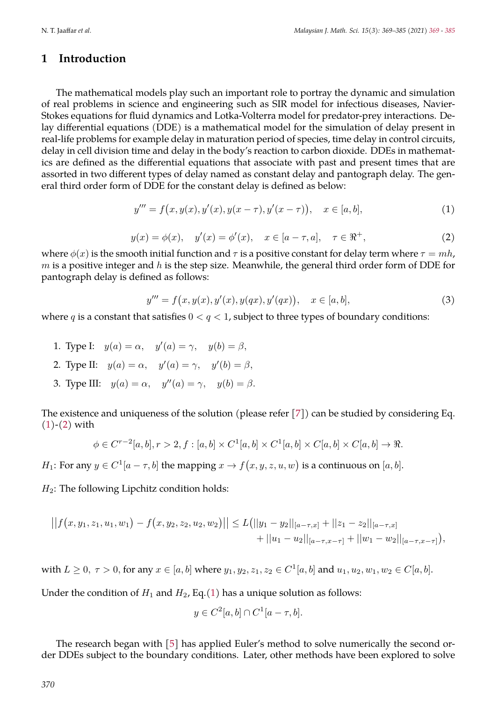### **1 Introduction**

The mathematical models play such an important role to portray the dynamic and simulation of real problems in science and engineering such as SIR model for infectious diseases, Navier-Stokes equations for fluid dynamics and Lotka-Volterra model for predator-prey interactions. Delay differential equations (DDE) is a mathematical model for the simulation of delay present in real-life problems for example delay in maturation period of species, time delay in control circuits, delay in cell division time and delay in the body's reaction to carbon dioxide. DDEs in mathematics are defined as the differential equations that associate with past and present times that are assorted in two different types of delay named as constant delay and pantograph delay. The general third order form of DDE for the constant delay is defined as below:

$$
y''' = f(x, y(x), y'(x), y(x - \tau), y'(x - \tau)), \quad x \in [a, b],
$$
\n(1)

$$
y(x) = \phi(x), \quad y'(x) = \phi'(x), \quad x \in [a - \tau, a], \quad \tau \in \mathbb{R}^+,
$$
 (2)

<span id="page-1-2"></span><span id="page-1-1"></span><span id="page-1-0"></span>where  $\phi(x)$  is the smooth initial function and  $\tau$  is a positive constant for delay term where  $\tau = mh$ ,  $m$  is a positive integer and  $h$  is the step size. Meanwhile, the general third order form of DDE for pantograph delay is defined as follows:

$$
y''' = f(x, y(x), y'(x), y(qx), y'(qx)), \quad x \in [a, b],
$$
\n(3)

where q is a constant that satisfies  $0 < q < 1$ , subject to three types of boundary conditions:

1. Type I:  $y(a) = \alpha$ ,  $y'(a) = \gamma$ ,  $y(b) = \beta$ , 2. Type II:  $y(a) = \alpha$ ,  $y'(a) = \gamma$ ,  $y'(b) = \beta$ , 3. Type III:  $y(a) = \alpha$ ,  $y''(a) = \gamma$ ,  $y(b) = \beta$ .

The existence and uniqueness of the solution (please refer [\[7\]](#page-16-1)) can be studied by considering Eq.  $(1)-(2)$  $(1)-(2)$  $(1)-(2)$  with

$$
\phi\in C^{r-2}[a,b], r>2, f:[a,b]\times C^1[a,b]\times C^1[a,b]\times C[a,b]\times C[a,b]\rightarrow \Re.
$$

*H*<sub>1</sub>: For any  $y \in C^1[a - \tau, b]$  the mapping  $x \to f(x, y, z, u, w)$  is a continuous on  $[a, b]$ .

 $H_2$ : The following Lipchitz condition holds:

$$
||f(x, y_1, z_1, u_1, w_1) - f(x, y_2, z_2, u_2, w_2)|| \le L(||y_1 - y_2||_{[a - \tau, x]} + ||z_1 - z_2||_{[a - \tau, x]} + ||u_1 - u_2||_{[a - \tau, x - \tau]} + ||w_1 - w_2||_{[a - \tau, x - \tau]}),
$$

with  $L \ge 0, \tau > 0$ , for any  $x \in [a, b]$  where  $y_1, y_2, z_1, z_2 \in C^1[a, b]$  and  $u_1, u_2, w_1, w_2 \in C[a, b]$ .

Under the condition of  $H_1$  and  $H_2$ , Eq.[\(1\)](#page-1-0) has a unique solution as follows:

$$
y \in C^2[a, b] \cap C^1[a - \tau, b].
$$

The research began with [\[5\]](#page-16-2) has applied Euler's method to solve numerically the second order DDEs subject to the boundary conditions. Later, other methods have been explored to solve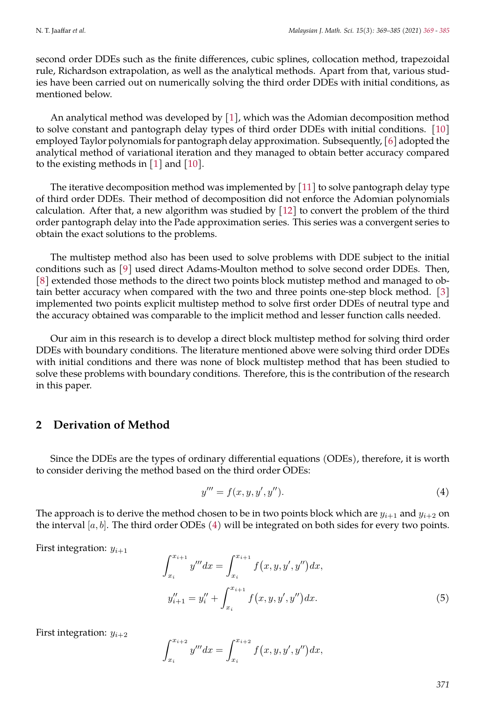second order DDEs such as the finite differences, cubic splines, collocation method, trapezoidal rule, Richardson extrapolation, as well as the analytical methods. Apart from that, various studies have been carried out on numerically solving the third order DDEs with initial conditions, as mentioned below.

An analytical method was developed by [\[1\]](#page-15-0), which was the Adomian decomposition method to solve constant and pantograph delay types of third order DDEs with initial conditions. [\[10\]](#page-16-3) employed Taylor polynomials for pantograph delay approximation. Subsequently, [\[6\]](#page-16-4) adopted the analytical method of variational iteration and they managed to obtain better accuracy compared to the existing methods in [\[1\]](#page-15-0) and [\[10\]](#page-16-3).

The iterative decomposition method was implemented by [\[11\]](#page-16-5) to solve pantograph delay type of third order DDEs. Their method of decomposition did not enforce the Adomian polynomials calculation. After that, a new algorithm was studied by [\[12\]](#page-16-6) to convert the problem of the third order pantograph delay into the Pade approximation series. This series was a convergent series to obtain the exact solutions to the problems.

The multistep method also has been used to solve problems with DDE subject to the initial conditions such as [\[9\]](#page-16-7) used direct Adams-Moulton method to solve second order DDEs. Then, [\[8\]](#page-16-8) extended those methods to the direct two points block mutistep method and managed to obtain better accuracy when compared with the two and three points one-step block method. [\[3\]](#page-16-9) implemented two points explicit multistep method to solve first order DDEs of neutral type and the accuracy obtained was comparable to the implicit method and lesser function calls needed.

Our aim in this research is to develop a direct block multistep method for solving third order DDEs with boundary conditions. The literature mentioned above were solving third order DDEs with initial conditions and there was none of block multistep method that has been studied to solve these problems with boundary conditions. Therefore, this is the contribution of the research in this paper.

### **2 Derivation of Method**

Since the DDEs are the types of ordinary differential equations (ODEs), therefore, it is worth to consider deriving the method based on the third order ODEs:

<span id="page-2-0"></span>
$$
y''' = f(x, y, y', y'').
$$
 (4)

The approach is to derive the method chosen to be in two points block which are  $y_{i+1}$  and  $y_{i+2}$  on the interval  $[a, b]$ . The third order ODEs [\(4\)](#page-2-0) will be integrated on both sides for every two points.

<span id="page-2-1"></span>First integration:  $y_{i+1}$ 

$$
\int_{x_i}^{x_{i+1}} y''' dx = \int_{x_i}^{x_{i+1}} f(x, y, y', y'') dx,
$$
  

$$
y''_{i+1} = y''_i + \int_{x_i}^{x_{i+1}} f(x, y, y', y'') dx.
$$
 (5)

First integration:  $y_{i+2}$ 

$$
\int_{x_i}^{x_{i+2}} y''' dx = \int_{x_i}^{x_{i+2}} f(x, y, y', y'') dx,
$$

*371*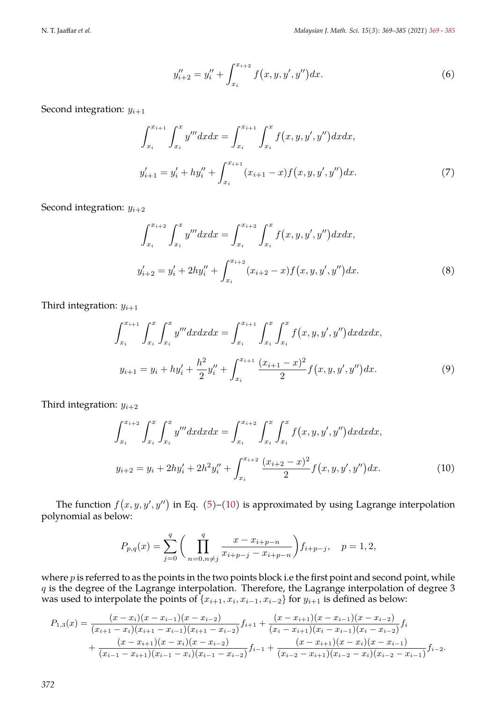$$
y''_{i+2} = y''_i + \int_{x_i}^{x_{i+2}} f(x, y, y', y'') dx.
$$
 (6)

<span id="page-3-3"></span><span id="page-3-1"></span>Second integration:  $y_{i+1}$ 

$$
\int_{x_i}^{x_{i+1}} \int_{x_i}^{x} y''' dx dx = \int_{x_i}^{x_{i+1}} \int_{x_i}^{x} f(x, y, y', y'') dx dx,
$$
  

$$
y'_{i+1} = y'_i + hy''_i + \int_{x_i}^{x_{i+1}} (x_{i+1} - x) f(x, y, y', y'') dx.
$$
 (7)

<span id="page-3-4"></span>Second integration:  $y_{i+2}$ 

$$
\int_{x_i}^{x_{i+2}} \int_{x_i}^{x} y''' dx dx = \int_{x_i}^{x_{i+2}} \int_{x_i}^{x} f(x, y, y', y'') dx dx,
$$
  

$$
y'_{i+2} = y'_{i} + 2hy''_{i} + \int_{x_i}^{x_{i+2}} (x_{i+2} - x) f(x, y, y', y'') dx.
$$
 (8)

<span id="page-3-2"></span>Third integration:  $y_{i+1}$ 

$$
\int_{x_i}^{x_{i+1}} \int_{x_i}^{x} \int_{x_i}^{x} y''' dx dx dx = \int_{x_i}^{x_{i+1}} \int_{x_i}^{x} \int_{x_i}^{x} f(x, y, y', y'') dx dx dx,
$$
  

$$
y_{i+1} = y_i + hy'_i + \frac{h^2}{2} y''_i + \int_{x_i}^{x_{i+1}} \frac{(x_{i+1} - x)^2}{2} f(x, y, y', y'') dx.
$$
 (9)

<span id="page-3-0"></span>Third integration:  $y_{i+2}$ 

$$
\int_{x_i}^{x_{i+2}} \int_{x_i}^{x} \int_{x_i}^{x} y''' dx dx dx = \int_{x_i}^{x_{i+2}} \int_{x_i}^{x} \int_{x_i}^{x} f(x, y, y', y'') dx dx dx,
$$
  

$$
y_{i+2} = y_i + 2hy'_i + 2h^2 y''_i + \int_{x_i}^{x_{i+2}} \frac{(x_{i+2} - x)^2}{2} f(x, y, y', y'') dx.
$$
 (10)

The function  $f(x, y, y', y'')$  in Eq. [\(5\)](#page-2-1)–[\(10\)](#page-3-0) is approximated by using Lagrange interpolation polynomial as below:

$$
P_{p,q}(x) = \sum_{j=0}^{q} \left( \prod_{n=0, n \neq j}^{q} \frac{x - x_{i+p-n}}{x_{i+p-j} - x_{i+p-n}} \right) f_{i+p-j}, \quad p = 1, 2,
$$

where  $p$  is referred to as the points in the two points block i.e the first point and second point, while  $q$  is the degree of the Lagrange interpolation. Therefore, the Lagrange interpolation of degree 3 was used to interpolate the points of  $\{x_{i+1}, x_i, x_{i-1}, x_{i-2}\}$  for  $y_{i+1}$  is defined as below:

$$
P_{1,3}(x) = \frac{(x-x_i)(x-x_{i-1})(x-x_{i-2})}{(x_{i+1}-x_i)(x_{i+1}-x_{i-1})(x_{i+1}-x_{i-2})}f_{i+1} + \frac{(x-x_{i+1})(x-x_{i-1})(x-x_{i-2})}{(x_i-x_{i+1})(x_i-x_{i-2})}f_i
$$
  
+ 
$$
\frac{(x-x_{i+1})(x-x_i)(x-x_{i-2})}{(x_{i-1}-x_{i+1})(x_{i-1}-x_i)(x_{i-1}-x_{i-2})}f_{i-1} + \frac{(x-x_{i+1})(x-x_i)(x-x_{i-1})}{(x_{i-2}-x_{i+1})(x_{i-2}-x_i)(x_{i-2}-x_{i-1})}f_{i-2}.
$$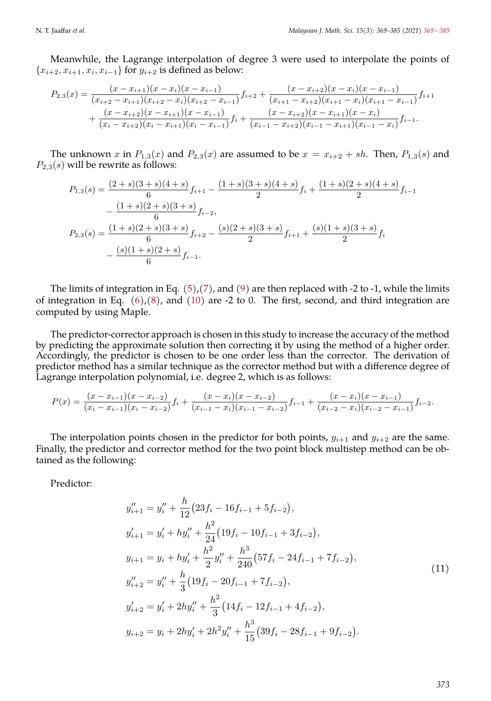Meanwhile, the Lagrange interpolation of degree 3 were used to interpolate the points of  ${x_{i+2}, x_{i+1}, x_i, x_{i-1}}$  for  $y_{i+2}$  is defined as below:

$$
P_{2,3}(x) = \frac{(x-x_{i+1})(x-x_i)(x-x_{i-1})}{(x_{i+2}-x_{i+1})(x_{i+2}-x_i)(x_{i+2}-x_{i-1})}f_{i+2} + \frac{(x-x_{i+2})(x-x_i)(x-x_{i-1})}{(x_{i+1}-x_{i+2})(x_{i+1}-x_i)(x_{i+1}-x_{i-1})}f_{i+1} + \frac{(x-x_{i+2})(x-x_{i+1})(x-x_{i-1})}{(x_i-x_{i+2})(x_i-x_{i+1})(x_i-x_{i-1})}f_i + \frac{(x-x_{i+2})(x-x_{i+1})(x-x_i)}{(x_{i-1}-x_{i+2})(x_{i-1}-x_{i+1})(x_{i-1}-x_i)}f_{i-1}.
$$

The unknown x in  $P_{1,3}(x)$  and  $P_{2,3}(x)$  are assumed to be  $x = x_{i+2} + sh$ . Then,  $P_{1,3}(s)$  and  $P_{2,3}(s)$  will be rewrite as follows:

$$
P_{1,3}(s) = \frac{(2+s)(3+s)(4+s)}{6}f_{i+1} - \frac{(1+s)(3+s)(4+s)}{2}f_i + \frac{(1+s)(2+s)(4+s)}{2}f_{i-1}
$$

$$
-\frac{(1+s)(2+s)(3+s)}{6}f_{i-2},
$$

$$
P_{2,3}(s) = \frac{(1+s)(2+s)(3+s)}{6}f_{i+2} - \frac{(s)(2+s)(3+s)}{2}f_{i+1} + \frac{(s)(1+s)(3+s)}{2}f_i
$$

$$
-\frac{(s)(1+s)(2+s)}{6}f_{i-1}.
$$

The limits of integration in Eq.  $(5)/(7)$  $(5)/(7)$  $(5)/(7)$ , and  $(9)$  are then replaced with -2 to -1, while the limits of integration in Eq.  $(6)$ , $(8)$ , and  $(10)$  are -2 to 0. The first, second, and third integration are computed by using Maple.

The predictor-corrector approach is chosen in this study to increase the accuracy of the method by predicting the approximate solution then correcting it by using the method of a higher order. Accordingly, the predictor is chosen to be one order less than the corrector. The derivation of predictor method has a similar technique as the corrector method but with a difference degree of Lagrange interpolation polynomial, i.e. degree 2, which is as follows:

$$
P(x) = \frac{(x-x_{i-1})(x-x_{i-2})}{(x_i-x_{i-1})(x_i-x_{i-2})}f_i + \frac{(x-x_i)(x-x_{i-2})}{(x_{i-1}-x_i)(x_{i-1}-x_{i-2})}f_{i-1} + \frac{(x-x_i)(x-x_{i-1})}{(x_{i-2}-x_i)(x_{i-2}-x_{i-1})}f_{i-2}.
$$

The interpolation points chosen in the predictor for both points,  $y_{i+1}$  and  $y_{i+2}$  are the same. Finally, the predictor and corrector method for the two point block multistep method can be obtained as the following:

Predictor:

$$
y''_{i+1} = y''_i + \frac{h}{12} (23f_i - 16f_{i-1} + 5f_{i-2}),
$$
  
\n
$$
y'_{i+1} = y'_i + hy''_i + \frac{h^2}{24} (19f_i - 10f_{i-1} + 3f_{i-2}),
$$
  
\n
$$
y_{i+1} = y_i + hy'_i + \frac{h^2}{2} y''_i + \frac{h^3}{240} (57f_i - 24f_{i-1} + 7f_{i-2}),
$$
  
\n
$$
y''_{i+2} = y''_i + \frac{h}{3} (19f_i - 20f_{i-1} + 7f_{i-2}),
$$
  
\n
$$
y'_{i+2} = y'_i + 2hy''_i + \frac{h^2}{3} (14f_i - 12f_{i-1} + 4f_{i-2}),
$$
  
\n
$$
y_{i+2} = y_i + 2hy'_i + 2h^2 y''_i + \frac{h^3}{15} (39f_i - 28f_{i-1} + 9f_{i-2}).
$$
  
\n(11)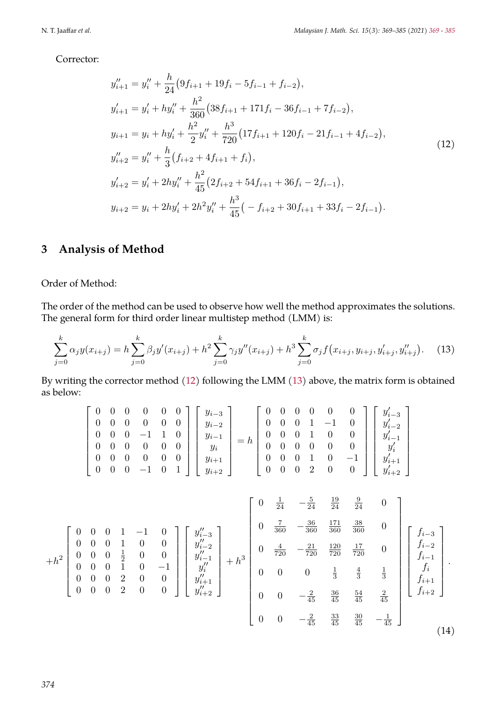Corrector:

<span id="page-5-0"></span>
$$
y''_{i+1} = y''_i + \frac{h}{24} (9f_{i+1} + 19f_i - 5f_{i-1} + f_{i-2}),
$$
  
\n
$$
y'_{i+1} = y'_i + hy''_i + \frac{h^2}{360} (38f_{i+1} + 171f_i - 36f_{i-1} + 7f_{i-2}),
$$
  
\n
$$
y_{i+1} = y_i + hy'_i + \frac{h^2}{2} y''_i + \frac{h^3}{720} (17f_{i+1} + 120f_i - 21f_{i-1} + 4f_{i-2}),
$$
  
\n
$$
y''_{i+2} = y''_i + \frac{h}{3} (f_{i+2} + 4f_{i+1} + f_i),
$$
  
\n
$$
y'_{i+2} = y'_i + 2hy''_i + \frac{h^2}{45} (2f_{i+2} + 54f_{i+1} + 36f_i - 2f_{i-1}),
$$
  
\n
$$
y_{i+2} = y_i + 2hy'_i + 2h^2 y''_i + \frac{h^3}{45} (-f_{i+2} + 30f_{i+1} + 33f_i - 2f_{i-1}).
$$
\n(12)

## **3 Analysis of Method**

Order of Method:

The order of the method can be used to observe how well the method approximates the solutions. The general form for third order linear multistep method (LMM) is:

$$
\sum_{j=0}^{k} \alpha_j y(x_{i+j}) = h \sum_{j=0}^{k} \beta_j y'(x_{i+j}) + h^2 \sum_{j=0}^{k} \gamma_j y''(x_{i+j}) + h^3 \sum_{j=0}^{k} \sigma_j f(x_{i+j}, y_{i+j}, y'_{i+j}, y''_{i+j}).
$$
 (13)

By writing the corrector method [\(12\)](#page-5-0) following the LMM [\(13\)](#page-5-1) above, the matrix form is obtained as below:

<span id="page-5-1"></span>
$$
\begin{bmatrix} 0 & 0 & 0 & 0 & 0 & 0 \\ 0 & 0 & 0 & 0 & 0 & 0 \\ 0 & 0 & 0 & -1 & 1 & 0 \\ 0 & 0 & 0 & 0 & 0 & 0 \\ 0 & 0 & 0 & 0 & 0 & 0 \\ 0 & 0 & 0 & -1 & 0 & 1 \end{bmatrix} \begin{bmatrix} y_{i-3} \\ y_{i-2} \\ y_{i-1} \\ y_i \\ y_i \\ y_{i+2} \end{bmatrix} = h \begin{bmatrix} 0 & 0 & 0 & 0 & 0 & 0 \\ 0 & 0 & 0 & 1 & -1 & 0 \\ 0 & 0 & 0 & 1 & 0 & 0 \\ 0 & 0 & 0 & 0 & 0 & 0 \\ 0 & 0 & 0 & 1 & 0 & -1 \\ 0 & 0 & 0 & 2 & 0 & 0 \end{bmatrix} \begin{bmatrix} y'_{i-3} \\ y'_{i-2} \\ y'_{i-1} \\ y'_i \\ y'_i \\ y'_i \\ y'_i + 1 \\ y'_i + 1 \end{bmatrix}
$$

<span id="page-5-2"></span>
$$
+h^{2}\begin{bmatrix}0 & 0 & 0 & 1 & -1 & 0 \ 0 & 0 & 0 & 1 & 0 & 0 \ 0 & 0 & 0 & \frac{1}{2} & 0 & 0 \ 0 & 0 & 0 & 2 & 0 & 0 \ 0 & 0 & 0 & 2 & 0 & 0 \end{bmatrix}\begin{bmatrix}y''_{i-3} \\ y''_{i-2} \\ y''_{i-1} \\ y''_{i+1} \\ y''_{i+2} \end{bmatrix} +h^{3}\begin{bmatrix}0 & \frac{4}{24} & -\frac{5}{24} & \frac{19}{24} & \frac{9}{24} & 0 \ 0 & \frac{4}{360} & \frac{171}{360} & \frac{38}{360} & 0 \ 0 & \frac{4}{720} & -\frac{21}{720} & \frac{120}{720} & \frac{17}{720} & 0 \ 0 & 0 & 0 & \frac{1}{3} & \frac{4}{3} & \frac{1}{3} \ 0 & 0 & 0 & \frac{1}{3} & \frac{4}{3} & \frac{1}{3} \ 0 & 0 & -\frac{2}{45} & \frac{36}{45} & \frac{54}{45} & \frac{2}{45} \end{bmatrix}\begin{bmatrix}f_{i-3} \\ f_{i-2} \\ f_{i-1} \\ f_{i+1} \\ f_{i+2} \\ f_{i+2} \end{bmatrix}.
$$
\n
$$
(14)
$$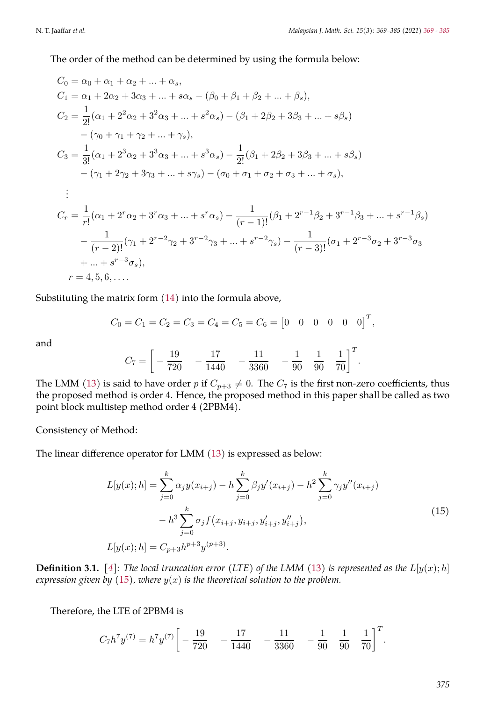The order of the method can be determined by using the formula below:

$$
C_0 = \alpha_0 + \alpha_1 + \alpha_2 + \dots + \alpha_s,
$$
  
\n
$$
C_1 = \alpha_1 + 2\alpha_2 + 3\alpha_3 + \dots + s\alpha_s - (\beta_0 + \beta_1 + \beta_2 + \dots + \beta_s),
$$
  
\n
$$
C_2 = \frac{1}{2!}(\alpha_1 + 2^2\alpha_2 + 3^2\alpha_3 + \dots + s^2\alpha_s) - (\beta_1 + 2\beta_2 + 3\beta_3 + \dots + s\beta_s)
$$
  
\n
$$
-(\gamma_0 + \gamma_1 + \gamma_2 + \dots + \gamma_s),
$$
  
\n
$$
C_3 = \frac{1}{3!}(\alpha_1 + 2^3\alpha_2 + 3^3\alpha_3 + \dots + s^3\alpha_s) - \frac{1}{2!}(\beta_1 + 2\beta_2 + 3\beta_3 + \dots + s\beta_s)
$$
  
\n
$$
-(\gamma_1 + 2\gamma_2 + 3\gamma_3 + \dots + s\gamma_s) - (\sigma_0 + \sigma_1 + \sigma_2 + \sigma_3 + \dots + \sigma_s),
$$
  
\n
$$
\vdots
$$
  
\n
$$
C_r = \frac{1}{r!}(\alpha_1 + 2^r\alpha_2 + 3^r\alpha_3 + \dots + s^r\alpha_s) - \frac{1}{(r-1)!}(\beta_1 + 2^{r-1}\beta_2 + 3^{r-1}\beta_3 + \dots + s^{r-1}\beta_s)
$$
  
\n
$$
- \frac{1}{(r-2)!}(\gamma_1 + 2^{r-2}\gamma_2 + 3^{r-2}\gamma_3 + \dots + s^{r-2}\gamma_s) - \frac{1}{(r-3)!}(\sigma_1 + 2^{r-3}\sigma_2 + 3^{r-3}\sigma_3 + \dots + s^{r-3}\sigma_s),
$$
  
\n
$$
r = 4, 5, 6, \dots
$$

Substituting the matrix form [\(14\)](#page-5-2) into the formula above,

$$
C_0 = C_1 = C_2 = C_3 = C_4 = C_5 = C_6 = [0 \quad 0 \quad 0 \quad 0 \quad 0]^T,
$$

and

$$
C_7 = \left[ \begin{array}{cccc} -\frac{19}{720} & -\frac{17}{1440} & -\frac{11}{3360} & -\frac{1}{90} & \frac{1}{90} & \frac{1}{70} \end{array} \right]^T.
$$

The LMM [\(13\)](#page-5-1) is said to have order p if  $C_{p+3} \neq 0$ . The  $C_7$  is the first non-zero coefficients, thus the proposed method is order 4. Hence, the proposed method in this paper shall be called as two point block multistep method order 4 (2PBM4).

Consistency of Method:

The linear difference operator for LMM [\(13\)](#page-5-1) is expressed as below:

<span id="page-6-0"></span>
$$
L[y(x);h] = \sum_{j=0}^{k} \alpha_j y(x_{i+j}) - h \sum_{j=0}^{k} \beta_j y'(x_{i+j}) - h^2 \sum_{j=0}^{k} \gamma_j y''(x_{i+j}) - h^3 \sum_{j=0}^{k} \sigma_j f(x_{i+j}, y_{i+j}, y'_{i+j}, y''_{i+j}),
$$
  
\n
$$
L[y(x);h] = C_{p+3}h^{p+3}y^{(p+3)}.
$$
\n(15)

**Definition 3.1.** [\[4\]](#page-16-10)*: The local truncation error* (LTE) of the LMM [\(13\)](#page-5-1) is represented as the  $L[y(x); h]$ *expression given by* [\(15\)](#page-6-0)*, where* y(x) *is the theoretical solution to the problem.*

Therefore, the LTE of 2PBM4 is

$$
C_7 h^7 y^{(7)} = h^7 y^{(7)} \left[ -\frac{19}{720} - \frac{17}{1440} - \frac{11}{3360} - \frac{1}{90} \frac{1}{90} \frac{1}{70} \right]^T.
$$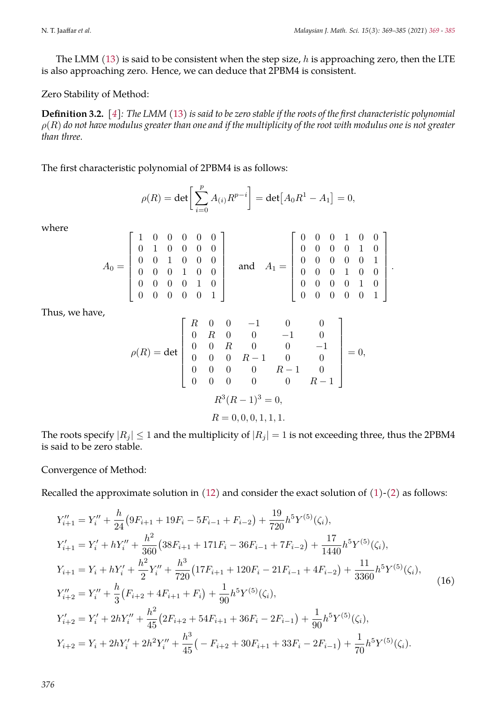$\blacksquare$ 

<span id="page-7-0"></span>.

The LMM  $(13)$  is said to be consistent when the step size, h is approaching zero, then the LTE is also approaching zero. Hence, we can deduce that 2PBM4 is consistent.

#### Zero Stability of Method:

**Definition 3.2.** *[\[4\]](#page-16-10): The LMM* [\(13\)](#page-5-1) *is said to be zero stable if the roots of the first characteristic polynomial* ρ(R) *do not have modulus greater than one and if the multiplicity of the root with modulus one is not greater than three.*

The first characteristic polynomial of 2PBM4 is as follows:

 $\overline{a}$ 

$$
\rho(R) = \det \left[ \sum_{i=0}^{p} A_{(i)} R^{p-i} \right] = \det [A_0 R^1 - A_1] = 0,
$$

 $\overline{a}$ 

where

$$
A_0 = \begin{bmatrix} 1 & 0 & 0 & 0 & 0 & 0 \\ 0 & 1 & 0 & 0 & 0 & 0 \\ 0 & 0 & 1 & 0 & 0 & 0 \\ 0 & 0 & 0 & 1 & 0 & 0 \\ 0 & 0 & 0 & 0 & 1 & 0 \\ 0 & 0 & 0 & 0 & 0 & 1 \end{bmatrix} \quad \text{and} \quad A_1 = \begin{bmatrix} 0 & 0 & 0 & 1 & 0 & 0 \\ 0 & 0 & 0 & 0 & 1 & 0 \\ 0 & 0 & 0 & 0 & 0 & 1 \\ 0 & 0 & 0 & 1 & 0 & 0 \\ 0 & 0 & 0 & 0 & 1 & 0 \\ 0 & 0 & 0 & 0 & 0 & 1 \end{bmatrix}
$$

Thus, we have,

$$
\rho(R) = \det \begin{bmatrix} R & 0 & 0 & -1 & 0 & 0 \\ 0 & R & 0 & 0 & -1 & 0 \\ 0 & 0 & R & 0 & 0 & -1 \\ 0 & 0 & 0 & R-1 & 0 & 0 \\ 0 & 0 & 0 & 0 & R-1 & 0 \\ 0 & 0 & 0 & 0 & 0 & R-1 \end{bmatrix} = 0,
$$

$$
R^3(R-1)^3 = 0,
$$

$$
R = 0, 0, 0, 1, 1, 1.
$$

The roots specify  $|R_j| \leq 1$  and the multiplicity of  $|R_j| = 1$  is not exceeding three, thus the 2PBM4 is said to be zero stable.

Convergence of Method:

Recalled the approximate solution in [\(12\)](#page-5-0) and consider the exact solution of [\(1\)](#page-1-0)-[\(2\)](#page-1-1) as follows:

$$
Y_{i+1}'' = Y_i'' + \frac{h}{24} (9F_{i+1} + 19F_i - 5F_{i-1} + F_{i-2}) + \frac{19}{720} h^5 Y^{(5)}(\zeta_i),
$$
  
\n
$$
Y_{i+1}' = Y_i' + hY_i'' + \frac{h^2}{360} (38F_{i+1} + 171F_i - 36F_{i-1} + 7F_{i-2}) + \frac{17}{1440} h^5 Y^{(5)}(\zeta_i),
$$
  
\n
$$
Y_{i+1} = Y_i + hY_i' + \frac{h^2}{2} Y_i'' + \frac{h^3}{720} (17F_{i+1} + 120F_i - 21F_{i-1} + 4F_{i-2}) + \frac{11}{3360} h^5 Y^{(5)}(\zeta_i),
$$
  
\n
$$
Y_{i+2}'' = Y_i'' + \frac{h}{3} (F_{i+2} + 4F_{i+1} + F_i) + \frac{1}{90} h^5 Y^{(5)}(\zeta_i),
$$
  
\n
$$
Y_{i+2}' = Y_i' + 2hY_i'' + \frac{h^2}{45} (2F_{i+2} + 54F_{i+1} + 36F_i - 2F_{i-1}) + \frac{1}{90} h^5 Y^{(5)}(\zeta_i),
$$
  
\n
$$
Y_{i+2} = Y_i + 2hY_i' + 2h^2 Y_i'' + \frac{h^3}{45} (-F_{i+2} + 30F_{i+1} + 33F_i - 2F_{i-1}) + \frac{1}{70} h^5 Y^{(5)}(\zeta_i).
$$
  
\n(16)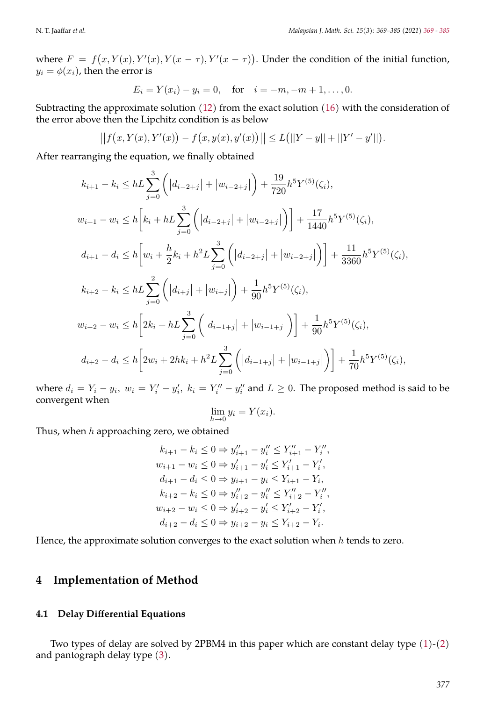where  $F = f(x, Y(x), Y'(x), Y(x - \tau), Y'(x - \tau))$ . Under the condition of the initial function,  $y_i = \phi(x_i)$ , then the error is

$$
E_i = Y(x_i) - y_i = 0
$$
, for  $i = -m, -m + 1, ..., 0$ .

Subtracting the approximate solution [\(12\)](#page-5-0) from the exact solution [\(16\)](#page-7-0) with the consideration of the error above then the Lipchitz condition is as below

$$
||f(x,Y(x),Y'(x))-f(x,y(x),y'(x))|| \leq L(||Y-y||+||Y'-y'||).
$$

After rearranging the equation, we finally obtained

$$
k_{i+1} - k_i \le h \sum_{j=0}^3 \left( |d_{i-2+j}| + |w_{i-2+j}| \right) + \frac{19}{720} h^5 Y^{(5)}(\zeta_i),
$$
  
\n
$$
w_{i+1} - w_i \le h \left[ k_i + h \sum_{j=0}^3 \left( |d_{i-2+j}| + |w_{i-2+j}| \right) \right] + \frac{17}{1440} h^5 Y^{(5)}(\zeta_i),
$$
  
\n
$$
d_{i+1} - d_i \le h \left[ w_i + \frac{h}{2} k_i + h^2 L \sum_{j=0}^3 \left( |d_{i-2+j}| + |w_{i-2+j}| \right) \right] + \frac{11}{3360} h^5 Y^{(5)}(\zeta_i),
$$
  
\n
$$
k_{i+2} - k_i \le h \sum_{j=0}^2 \left( |d_{i+j}| + |w_{i+j}| \right) + \frac{1}{90} h^5 Y^{(5)}(\zeta_i),
$$
  
\n
$$
w_{i+2} - w_i \le h \left[ 2k_i + h \sum_{j=0}^3 \left( |d_{i-1+j}| + |w_{i-1+j}| \right) \right] + \frac{1}{90} h^5 Y^{(5)}(\zeta_i),
$$
  
\n
$$
d_{i+2} - d_i \le h \left[ 2w_i + 2hk_i + h^2 L \sum_{j=0}^3 \left( |d_{i-1+j}| + |w_{i-1+j}| \right) \right] + \frac{1}{70} h^5 Y^{(5)}(\zeta_i),
$$

where  $d_i = Y_i - y_i$ ,  $w_i = Y'_i - y'_i$ ,  $k_i = Y''_i - y''_i$  and  $L \ge 0$ . The proposed method is said to be convergent when

$$
\lim_{h \to 0} y_i = Y(x_i).
$$

Thus, when  $h$  approaching zero, we obtained

$$
k_{i+1} - k_i \le 0 \Rightarrow y''_{i+1} - y''_i \le Y''_{i+1} - Y''_i,
$$
  
\n
$$
w_{i+1} - w_i \le 0 \Rightarrow y'_{i+1} - y'_i \le Y'_{i+1} - Y'_i,
$$
  
\n
$$
d_{i+1} - d_i \le 0 \Rightarrow y_{i+1} - y_i \le Y_{i+1} - Y_i,
$$
  
\n
$$
k_{i+2} - k_i \le 0 \Rightarrow y''_{i+2} - y''_i \le Y''_{i+2} - Y''_i,
$$
  
\n
$$
w_{i+2} - w_i \le 0 \Rightarrow y'_{i+2} - y'_i \le Y'_{i+2} - Y'_i,
$$
  
\n
$$
d_{i+2} - d_i \le 0 \Rightarrow y_{i+2} - y_i \le Y'_{i+2} - Y_i.
$$

Hence, the approximate solution converges to the exact solution when  $h$  tends to zero.

### **4 Implementation of Method**

#### **4.1 Delay Differential Equations**

Two types of delay are solved by 2PBM4 in this paper which are constant delay type  $(1)-(2)$  $(1)-(2)$  $(1)-(2)$ and pantograph delay type [\(3\)](#page-1-2).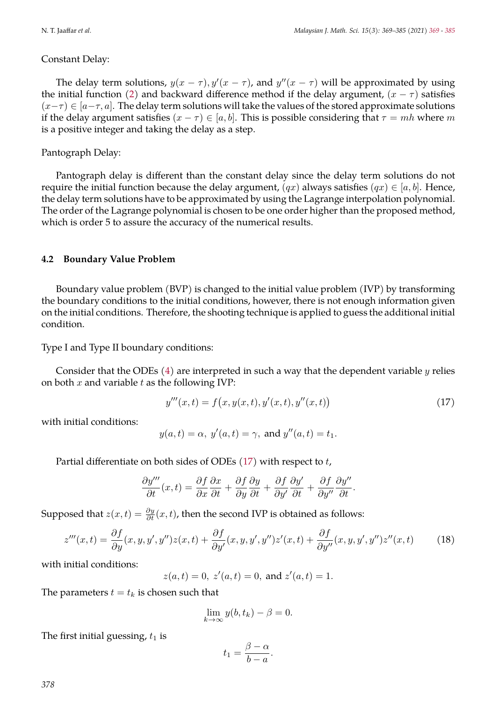#### Constant Delay:

The delay term solutions,  $y(x - \tau)$ ,  $y'(x - \tau)$ , and  $y''(x - \tau)$  will be approximated by using the initial function [\(2\)](#page-1-1) and backward difference method if the delay argument,  $(x - \tau)$  satisfies  $(x-\tau) \in [a-\tau, a]$ . The delay term solutions will take the values of the stored approximate solutions if the delay argument satisfies  $(x - \tau) \in [a, b]$ . This is possible considering that  $\tau = mh$  where m is a positive integer and taking the delay as a step.

#### Pantograph Delay:

Pantograph delay is different than the constant delay since the delay term solutions do not require the initial function because the delay argument,  $(qx)$  always satisfies  $(qx) \in [a, b]$ . Hence, the delay term solutions have to be approximated by using the Lagrange interpolation polynomial. The order of the Lagrange polynomial is chosen to be one order higher than the proposed method, which is order 5 to assure the accuracy of the numerical results.

#### **4.2 Boundary Value Problem**

Boundary value problem (BVP) is changed to the initial value problem (IVP) by transforming the boundary conditions to the initial conditions, however, there is not enough information given on the initial conditions. Therefore, the shooting technique is applied to guess the additional initial condition.

Type I and Type II boundary conditions:

Consider that the ODEs  $(4)$  are interpreted in such a way that the dependent variable y relies on both  $x$  and variable  $t$  as the following IVP:

<span id="page-9-0"></span>
$$
y'''(x,t) = f(x, y(x,t), y'(x,t), y''(x,t))
$$
\n(17)

with initial conditions:

$$
y(a,t) = \alpha, y'(a,t) = \gamma, \text{ and } y''(a,t) = t_1.
$$

Partial differentiate on both sides of ODEs  $(17)$  with respect to t,

$$
\frac{\partial y'''}{\partial t}(x,t) = \frac{\partial f}{\partial x}\frac{\partial x}{\partial t} + \frac{\partial f}{\partial y}\frac{\partial y}{\partial t} + \frac{\partial f}{\partial y'}\frac{\partial y'}{\partial t} + \frac{\partial f}{\partial y''}\frac{\partial y''}{\partial t}.
$$

Supposed that  $z(x,t) = \frac{\partial y}{\partial t}(x,t)$ , then the second IVP is obtained as follows:

$$
z'''(x,t) = \frac{\partial f}{\partial y}(x,y,y',y'')z(x,t) + \frac{\partial f}{\partial y'}(x,y,y',y'')z'(x,t) + \frac{\partial f}{\partial y''}(x,y,y',y'')z''(x,t)
$$
(18)

with initial conditions:

 $z(a,t) = 0, z'(a,t) = 0, \text{ and } z'(a,t) = 1.$ 

The parameters  $t = t_k$  is chosen such that

<span id="page-9-1"></span>
$$
\lim_{k \to \infty} y(b, t_k) - \beta = 0.
$$

The first initial guessing,  $t_1$  is

$$
t_1 = \frac{\beta - \alpha}{b - a}.
$$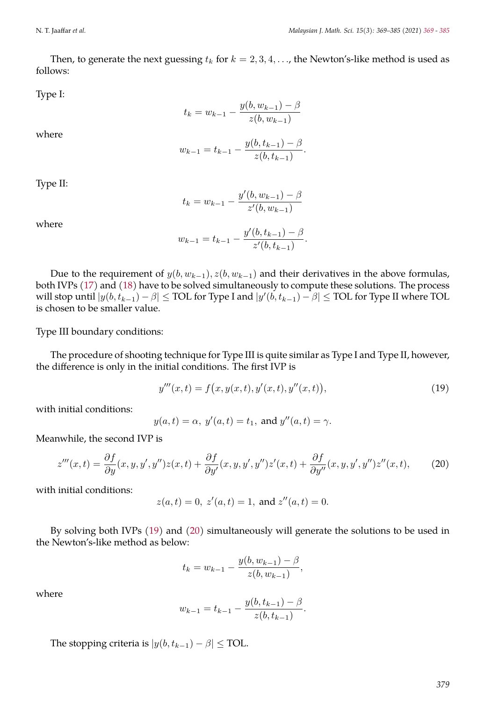Then, to generate the next guessing  $t_k$  for  $k = 2, 3, 4, \ldots$ , the Newton's-like method is used as follows:

Type I:

$$
t_k = w_{k-1} - \frac{y(b, w_{k-1}) - \beta}{z(b, w_{k-1})}
$$

where

$$
w_{k-1} = t_{k-1} - \frac{y(b, t_{k-1}) - \beta}{z(b, t_{k-1})}
$$

Type II:

$$
t_k = w_{k-1} - \frac{y'(b, w_{k-1}) - \beta}{z'(b, w_{k-1})}
$$

where

$$
w_{k-1} = t_{k-1} - \frac{y'(b, t_{k-1}) - \beta}{z'(b, t_{k-1})}.
$$

Due to the requirement of  $y(b, w_{k-1}), z(b, w_{k-1})$  and their derivatives in the above formulas, both IVPs [\(17\)](#page-9-0) and [\(18\)](#page-9-1) have to be solved simultaneously to compute these solutions. The process will stop until  $|y(b, t_{k-1}) - \beta| \leq \text{TOL}$  for Type I and  $|y'(b, t_{k-1}) - \beta| \leq \text{TOL}$  for Type II where TOL is chosen to be smaller value.

Type III boundary conditions:

The procedure of shooting technique for Type III is quite similar as Type I and Type II, however, the difference is only in the initial conditions. The first IVP is

<span id="page-10-0"></span>
$$
y'''(x,t) = f(x, y(x,t), y'(x,t), y''(x,t)),
$$
\n(19)

.

with initial conditions:

<span id="page-10-1"></span>
$$
y(a,t) = \alpha, y'(a,t) = t_1
$$
, and  $y''(a,t) = \gamma$ .

Meanwhile, the second IVP is

$$
z'''(x,t) = \frac{\partial f}{\partial y}(x,y,y',y'')z(x,t) + \frac{\partial f}{\partial y'}(x,y,y',y'')z'(x,t) + \frac{\partial f}{\partial y''}(x,y,y',y'')z''(x,t),\tag{20}
$$

with initial conditions:

$$
z(a,t) = 0
$$
,  $z'(a,t) = 1$ , and  $z''(a,t) = 0$ .

By solving both IVPs [\(19\)](#page-10-0) and [\(20\)](#page-10-1) simultaneously will generate the solutions to be used in the Newton's-like method as below:

$$
t_k = w_{k-1} - \frac{y(b, w_{k-1}) - \beta}{z(b, w_{k-1})},
$$

where

$$
w_{k-1} = t_{k-1} - \frac{y(b, t_{k-1}) - \beta}{z(b, t_{k-1})}.
$$

The stopping criteria is  $|y(b, t_{k-1}) - \beta| \leq \text{TOL}.$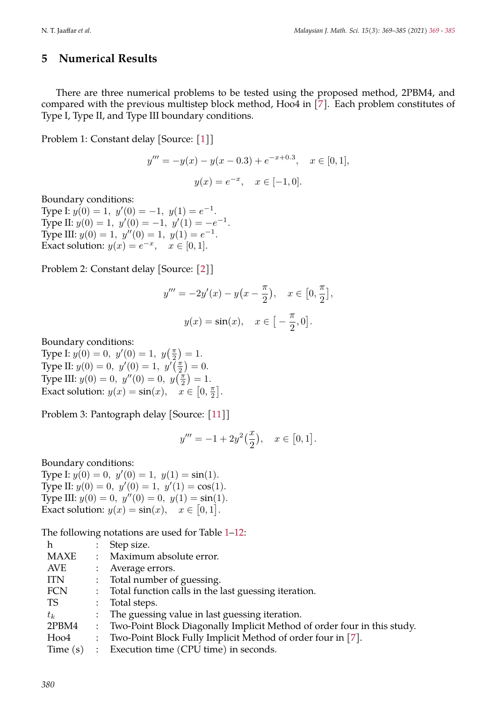## **5 Numerical Results**

There are three numerical problems to be tested using the proposed method, 2PBM4, and compared with the previous multistep block method, Hoo4 in [\[7\]](#page-16-1). Each problem constitutes of Type I, Type II, and Type III boundary conditions.

Problem 1: Constant delay [Source: [\[1\]](#page-15-0)]

$$
y''' = -y(x) - y(x - 0.3) + e^{-x + 0.3}, \quad x \in [0, 1],
$$
  

$$
y(x) = e^{-x}, \quad x \in [-1, 0].
$$

Boundary conditions:

Type I:  $y(0) = 1$ ,  $y'(0) = -1$ ,  $y(1) = e^{-1}$ . Type II:  $y(0) = 1$ ,  $y'(0) = -1$ ,  $y'(1) = -e^{-1}$ . Type III:  $y(0) = 1$ ,  $y''(0) = 1$ ,  $y(1) = e^{-1}$ . Exact solution:  $y(x) = e^{-x}$ ,  $x \in [0, 1]$ .

Problem 2: Constant delay [Source: [\[2\]](#page-15-1)]

$$
y''' = -2y'(x) - y(x - \frac{\pi}{2}), \quad x \in [0, \frac{\pi}{2}],
$$
  

$$
y(x) = \sin(x), \quad x \in [-\frac{\pi}{2}, 0].
$$

Boundary conditions:

Type I:  $y(0) = 0$ ,  $y'(0) = 1$ ,  $y(\frac{\pi}{2}) = 1$ . Type II:  $y(0) = 0$ ,  $y'(0) = 1$ ,  $y'(\frac{\pi}{2}) = 0$ . Type III:  $y(0) = 0$ ,  $y''(0) = 0$ ,  $y(\frac{\pi}{2}) = 1$ . Exact solution:  $y(x) = \sin(x), \quad x \in [0, \frac{\pi}{2}].$ 

Problem 3: Pantograph delay [Source: [\[11\]](#page-16-5)]

$$
y''' = -1 + 2y^2\left(\frac{x}{2}\right), \quad x \in [0, 1].
$$

Boundary conditions:

Type I:  $y(0) = 0$ ,  $y'(0) = 1$ ,  $y(1) = \sin(1)$ . Type II:  $y(0) = 0$ ,  $y'(0) = 1$ ,  $y'(1) = \cos(1)$ . Type III:  $y(0) = 0$ ,  $y''(0) = 0$ ,  $y(1) = \sin(1)$ . Exact solution:  $y(x) = \sin(x), \quad x \in [0, 1].$ 

The following notations are used for Table [1](#page-12-0)[–12:](#page-14-0)

| h          |                           | Step size.                                                              |
|------------|---------------------------|-------------------------------------------------------------------------|
| MAXE       | $\mathbb{R}^{\mathbb{Z}}$ | Maximum absolute error.                                                 |
| AVE        | $\mathcal{L}$             | Average errors.                                                         |
| ITN        | $\mathbb{R}^{\mathbb{Z}}$ | Total number of guessing.                                               |
| FCN        | $\mathcal{L}$             | Total function calls in the last guessing iteration.                    |
| TS         | $\mathbb{Z}^{\mathbb{Z}}$ | Total steps.                                                            |
| $t_k$      |                           | : The guessing value in last guessing iteration.                        |
| 2PBM4      | $\mathcal{I}$             | Two-Point Block Diagonally Implicit Method of order four in this study. |
| Hoo4       | $\mathcal{L}$             | Two-Point Block Fully Implicit Method of order four in [7].             |
| Time $(s)$ |                           | : Execution time (CPU time) in seconds.                                 |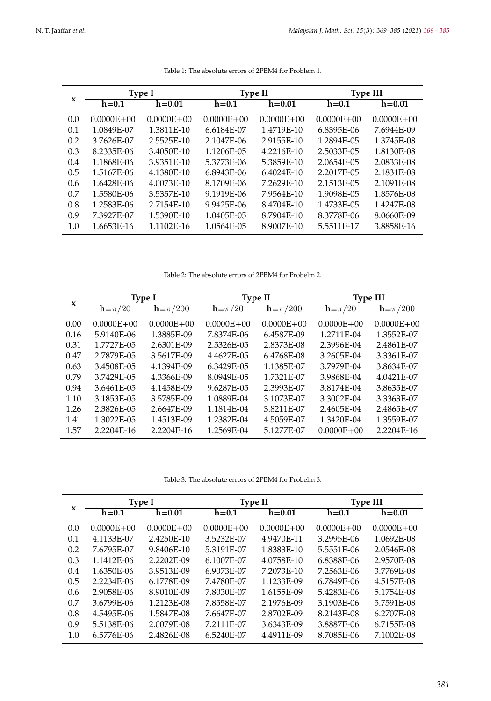<span id="page-12-0"></span>

|     |                | <b>Type I</b>  |                | <b>Type II</b> | <b>Type III</b> |                |  |
|-----|----------------|----------------|----------------|----------------|-----------------|----------------|--|
| X   | $h = 0.1$      | $h = 0.01$     | $h = 0.1$      | $h = 0.01$     | $h = 0.1$       | $h = 0.01$     |  |
| 0.0 | $0.0000E + 00$ | $0.0000E + 00$ | $0.0000E + 00$ | $0.0000E + 00$ | $0.0000E + 00$  | $0.0000E + 00$ |  |
| 0.1 | 1.0849E-07     | 1.3811E-10     | 6.6184E-07     | 1.4719E-10     | 6.8395E-06      | 7.6944E-09     |  |
| 0.2 | 3.7626E-07     | 2.5525E-10     | 2.1047E-06     | 2.9155E-10     | 1.2894E-05      | 1.3745E-08     |  |
| 0.3 | 8.2335E-06     | 3.4050E-10     | 1.1206E-05     | 4.2216E-10     | 2.5033E-05      | 1.8130E-08     |  |
| 0.4 | 1.1868E-06     | 3.9351E-10     | 5.3773E-06     | 5.3859E-10     | 2.0654E-05      | 2.0833E-08     |  |
| 0.5 | 1.5167E-06     | 4.1380E-10     | 6.8943E-06     | 6.4024E-10     | 2.2017E-05      | 2.1831E-08     |  |
| 0.6 | 1.6428E-06     | 4.0073E-10     | 8.1709E-06     | 7.2629E-10     | 2.1513E-05      | 2.1091E-08     |  |
| 0.7 | 1.5580E-06     | 3.5357E-10     | 9.1919E-06     | 7.9564E-10     | 1.9098E-05      | 1.8576E-08     |  |
| 0.8 | 1.2583E-06     | 2.7154E-10     | 9.9425E-06     | 8.4704E-10     | 1.4733E-05      | 1.4247E-08     |  |
| 0.9 | 7.3927E-07     | 1.5390E-10     | 1.0405E-05     | 8.7904E-10     | 8.3778E-06      | 8.0660E-09     |  |
| 1.0 | 1.6653E-16     | 1.1102E-16     | 1.0564E-05     | 8.9007E-10     | 5.5511E-17      | 3.8858E-16     |  |

Table 1: The absolute errors of 2PBM4 for Problem 1.

Table 2: The absolute errors of 2PBM4 for Probelm 2.

| X    |                | Type I         | <b>Type II</b> |                | <b>Type III</b> |                |  |
|------|----------------|----------------|----------------|----------------|-----------------|----------------|--|
|      | $h = \pi/20$   | $h=\pi/200$    | $h = \pi/20$   | $h=\pi/200$    | $h = \pi/20$    | $h=\pi/200$    |  |
| 0.00 | $0.0000E + 00$ | $0.0000E + 00$ | $0.0000E + 00$ | $0.0000E + 00$ | $0.0000E + 00$  | $0.0000E + 00$ |  |
| 0.16 | 5.9140E-06     | 1.3885E-09     | 7.8374E-06     | 6.4587E-09     | 1.2711E-04      | 1.3552E-07     |  |
| 0.31 | 1.7727E-05     | 2.6301E-09     | 2.5326E-05     | 2.8373E-08     | 2.3996E-04      | 2.4861E-07     |  |
| 0.47 | 2.7879E-05     | 3.5617E-09     | 4.4627E-05     | 6.4768E-08     | 3.2605E-04      | 3.3361E-07     |  |
| 0.63 | 3.4508E-05     | 4.1394E-09     | 6.3429E-05     | 1.1385E-07     | 3.7979E-04      | 3.8634E-07     |  |
| 0.79 | 3.7429E-05     | 4.3366E-09     | 8.0949E-05     | 1.7321E-07     | 3.9868E-04      | 4.0421E-07     |  |
| 0.94 | 3.6461E-05     | 4.1458E-09     | 9.6287E-05     | 2.3993E-07     | 3.8174E-04      | 3.8635E-07     |  |
| 1.10 | 3.1853E-05     | 3.5785E-09     | 1.0889E-04     | 3.1073E-07     | 3.3002E-04      | 3.3363E-07     |  |
| 1.26 | 2.3826E-05     | 2.6647E-09     | 1.1814E-04     | 3.8211E-07     | 2.4605E-04      | 2.4865E-07     |  |
| 1.41 | 1.3022E-05     | 1.4513E-09     | 1.2382E-04     | 4.5059E-07     | 1.3420E-04      | 1.3559E-07     |  |
| 1.57 | 2.2204E-16     | 2.2204E-16     | 1.2569E-04     | 5.1277E-07     | $0.0000E + 00$  | 2.2204E-16     |  |

Table 3: The absolute errors of 2PBM4 for Probelm 3.

<span id="page-12-1"></span>

| X   |                | <b>Type I</b>  | <b>Type II</b> |                | <b>Type III</b> |                |
|-----|----------------|----------------|----------------|----------------|-----------------|----------------|
|     | $h = 0.1$      | $h = 0.01$     | $h = 0.1$      | $h = 0.01$     | $h = 0.1$       | $h = 0.01$     |
| 0.0 | $0.0000E + 00$ | $0.0000E + 00$ | $0.0000E + 00$ | $0.0000E + 00$ | $0.0000E + 00$  | $0.0000E + 00$ |
| 0.1 | 4.1133E-07     | 2.4250E-10     | 3.5232E-07     | 4.9470E-11     | 3.2995E-06      | 1.0692E-08     |
| 0.2 | 7.6795E-07     | 9.8406E-10     | 5.3191E-07     | 1.8383E-10     | 5.5551E-06      | 2.0546E-08     |
| 0.3 | 1.1412E-06     | 2.2202E-09     | 6.1007E-07     | 4.0758E-10     | 6.8388E-06      | 2.9570E-08     |
| 0.4 | 1.6350E-06     | 3.9513E-09     | 6.9073E-07     | 7.2073E-10     | 7.2563E-06      | 3.7769E-08     |
| 0.5 | 2.2234E-06     | 6.1778E-09     | 7.4780E-07     | 1.1233E-09     | 6.7849E-06      | 4.5157E-08     |
| 0.6 | 2.9058E-06     | 8.9010E-09     | 7.8030E-07     | 1.6155E-09     | 5.4283E-06      | 5.1754E-08     |
| 0.7 | 3.6799E-06     | 1.2123E-08     | 7.8558E-07     | 2.1976E-09     | 3.1903E-06      | 5.7591E-08     |
| 0.8 | 4.5495E-06     | 1.5847E-08     | 7.6647E-07     | 2.8702E-09     | 8.2143E-08      | 6.2707E-08     |
| 0.9 | 5.5138E-06     | 2.0079E-08     | 7.2111E-07     | 3.6343E-09     | 3.8887E-06      | 6.7155E-08     |
| 1.0 | 6.5776E-06     | 2.4826E-08     | 6.5240E-07     | 4.4911E-09     | 8.7085E-06      | 7.1002E-08     |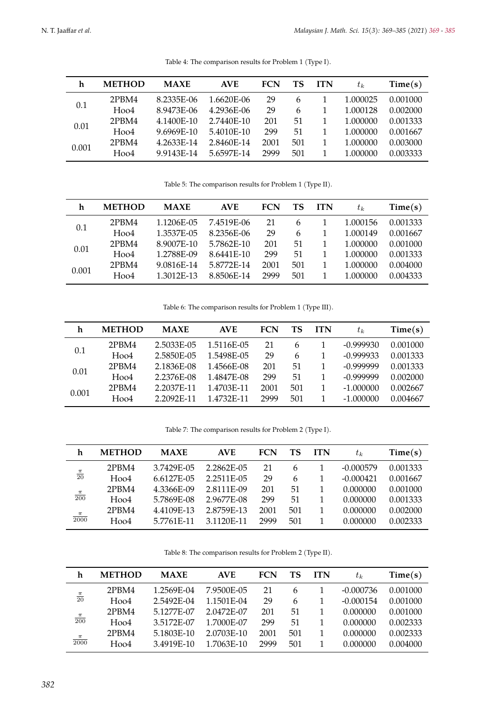<span id="page-13-0"></span>

| h     | <b>METHOD</b> | <b>MAXE</b> | <b>AVE</b> | FCN  | TS  | <b>ITN</b> | $t_k$    | Time(s)  |
|-------|---------------|-------------|------------|------|-----|------------|----------|----------|
| 0.1   | 2PBM4         | 8.2335E-06  | 1.6620E-06 | 29   | 6   |            | 1.000025 | 0.001000 |
|       | Hoo4          | 8.9473E-06  | 4.2936E-06 | 29   | 6   |            | 1.000128 | 0.002000 |
| 0.01  | 2PBM4         | 4.1400E-10  | 2.7440E-10 | 201  | 51  |            | 1.000000 | 0.001333 |
|       | Hoo4          | 9.6969E-10  | 5.4010E-10 | 299  | 51  |            | 1.000000 | 0.001667 |
| 0.001 | 2PBM4         | 4.2633E-14  | 2.8460E-14 | 2001 | 501 |            | 1.000000 | 0.003000 |
|       | $H$ oo $4$    | 9.9143E-14  | 5.6597E-14 | 2999 | 501 |            | 1.000000 | 0.003333 |

Table 4: The comparison results for Problem 1 (Type I).

Table 5: The comparison results for Problem 1 (Type II).

| h     | <b>METHOD</b> | <b>MAXE</b> | <b>AVE</b> | <b>FCN</b> | TS  | <b>ITN</b> | $t_k$    | Time(s)  |
|-------|---------------|-------------|------------|------------|-----|------------|----------|----------|
| 0.1   | 2PBM4         | 1.1206E-05  | 7.4519E-06 | 21         | 6   |            | 1.000156 | 0.001333 |
|       | Hoo4          | 1.3537E-05  | 8.2356E-06 | 29         | 6   |            | 1.000149 | 0.001667 |
|       | 2PBM4         | 8.9007E-10  | 5.7862E-10 | 201        | 51  |            | 1.000000 | 0.001000 |
| 0.01  | Hoo4          | 1.2788E-09  | 8.6441E-10 | 299        | 51  |            | 1.000000 | 0.001333 |
| 0.001 | 2PBM4         | 9.0816E-14  | 5.8772E-14 | 2001       | 501 | 1          | 1.000000 | 0.004000 |
|       | $H$ oo $4$    | 1.3012E-13  | 8.8506E-14 | 2999       | 501 |            | 1.000000 | 0.004333 |

Table 6: The comparison results for Problem 1 (Type III).

| h     | <b>METHOD</b> | <b>MAXE</b> | <b>AVE</b> | <b>FCN</b> | TS  | <b>ITN</b> | $t_k$       | Time(s)  |
|-------|---------------|-------------|------------|------------|-----|------------|-------------|----------|
|       | 2PBM4         | 2.5033E-05  | 1.5116E-05 | 21         | 6   |            | $-0.999930$ | 0.001000 |
| 0.1   | Hoo4          | 2.5850E-05  | 1.5498E-05 | 29         | 6   |            | $-0.999933$ | 0.001333 |
| 0.01  | 2PBM4         | 2.1836E-08  | 1.4566E-08 | 201        | 51  |            | $-0.999999$ | 0.001333 |
|       | $H$ 004       | 2.2376E-08  | 1.4847E-08 | 299        | 51  |            | $-0.999999$ | 0.002000 |
| 0.001 | 2PBM4         | 2.2037E-11  | 1.4703E-11 | 2001       | 501 |            | $-1.000000$ | 0.002667 |
|       | $H$ oo4       | 2.2092E-11  | 1.4732E-11 | 2999       | 501 |            | $-1.000000$ | 0.004667 |

Table 7: The comparison results for Problem 2 (Type I).

| h                  | <b>METHOD</b> | <b>MAXE</b> | <b>AVE</b> | <b>FCN</b> | TS  | <b>ITN</b> | $t_k$       | Time(s)  |
|--------------------|---------------|-------------|------------|------------|-----|------------|-------------|----------|
|                    | 2PBM4         | 3.7429E-05  | 2.2862E-05 | 21         | 6   |            | $-0.000579$ | 0.001333 |
| $\frac{\pi}{20}$   | Hoo4          | 6.6127E-05  | 2.2511E-05 | 29         | 6   |            | $-0.000421$ | 0.001667 |
|                    | 2PBM4         | 4.3366E-09  | 2.8111E-09 | 201        | 51  |            | 0.000000    | 0.001000 |
| $\frac{\pi}{200}$  | $H$ oo $4$    | 5.7869E-08  | 2.9677E-08 | 299        | 51  |            | 0.000000    | 0.001333 |
|                    | 2PBM4         | 4.4109E-13  | 2.8759E-13 | 2001       | 501 |            | 0.000000    | 0.002000 |
| $\frac{\pi}{2000}$ | Hoo4          | 5.7761F-11  | 3.1120E-11 | 2999       | 501 |            | 0.000000    | 0.002333 |

Table 8: The comparison results for Problem 2 (Type II).

| h                  | <b>METHOD</b> | <b>MAXE</b> | <b>AVE</b> | FCN  | TS  | <b>ITN</b> | $t_k$       | Time(s)  |
|--------------------|---------------|-------------|------------|------|-----|------------|-------------|----------|
|                    | 2PBM4         | 1.2569E-04  | 7.9500E-05 | 21   | 6   |            | $-0.000736$ | 0.001000 |
| $\frac{\pi}{20}$   | Hoo4          | 2.5492E-04  | 1.1501E-04 | 29   | 6   |            | $-0.000154$ | 0.001000 |
|                    | 2PBM4         | 5.1277E-07  | 2.0472E-07 | 201  | 51  |            | 0.000000    | 0.001000 |
| $\frac{\pi}{200}$  | Hoo4          | 3.5172E-07  | 1.7000E-07 | 299  | 51  |            | 0.000000    | 0.002333 |
|                    | 2PBM4         | 5.1803E-10  | 2.0703E-10 | 2001 | 501 |            | 0.000000    | 0.002333 |
| $\frac{\pi}{2000}$ | Hoo4          | 3.4919E-10  | 1.7063E-10 | 2999 | 501 |            | 0.000000    | 0.004000 |
|                    |               |             |            |      |     |            |             |          |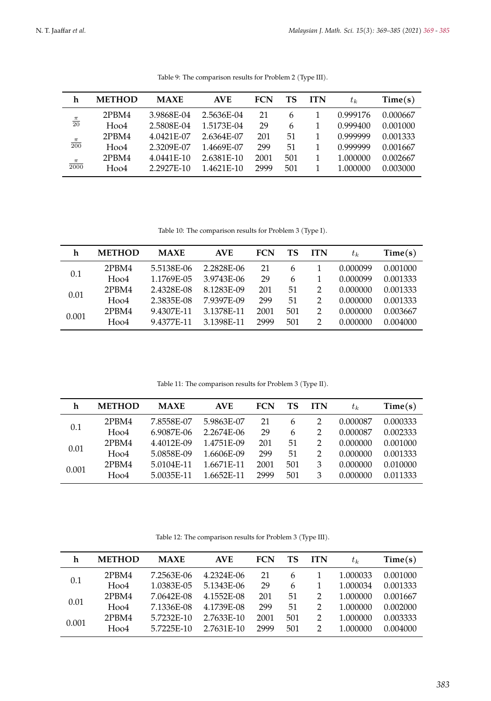<span id="page-14-1"></span>

| h                  | <b>METHOD</b> | <b>MAXE</b> | <b>AVE</b> | <b>FCN</b> | TS  | <b>ITN</b> | $t_k$    | Time(s)  |
|--------------------|---------------|-------------|------------|------------|-----|------------|----------|----------|
|                    | 2PBM4         | 3.9868E-04  | 2.5636E-04 | 21         | 6   |            | 0.999176 | 0.000667 |
| $\frac{\pi}{20}$   | Hoo4          | 2.5808E-04  | 1.5173E-04 | 29         | 6   |            | 0.999400 | 0.001000 |
|                    | 2PBM4         | 4.0421E-07  | 2.6364E-07 | 201        | 51  |            | 0.999999 | 0.001333 |
| $\frac{\pi}{200}$  | Hoo4          | 2.3209E-07  | 1.4669E-07 | 299        | 51  |            | 0.999999 | 0.001667 |
|                    | 2PBM4         | 4.0441E-10  | 2.6381E-10 | 2001       | 501 |            | 1.000000 | 0.002667 |
| $\frac{\pi}{2000}$ | Hoo4          | 2.2927F-10  | 1.4621F-10 | 2999       | 501 |            | 1.000000 | 0.003000 |

Table 9: The comparison results for Problem 2 (Type III).

Table 10: The comparison results for Problem 3 (Type I).

<span id="page-14-2"></span>

| h     | <b>METHOD</b> | <b>MAXE</b> | <b>AVE</b> | <b>FCN</b> | TS  | <b>ITN</b> | $t_k$    | Time(s)  |
|-------|---------------|-------------|------------|------------|-----|------------|----------|----------|
| 0.1   | 2PBM4         | 5.5138E-06  | 2.2828E-06 | 21         | 6   |            | 0.000099 | 0.001000 |
|       | Hoo4          | 1.1769E-05  | 3.9743E-06 | 29         | 6   |            | 0.000099 | 0.001333 |
| 0.01  | 2PBM4         | 2.4328E-08  | 8.1283E-09 | 201        | 51  | 2          | 0.000000 | 0.001333 |
|       | $H$ oo $4$    | 2.3835E-08  | 7.9397E-09 | 299        | 51  | 2          | 0.000000 | 0.001333 |
| 0.001 | 2PBM4         | 9.4307E-11  | 3.1378E-11 | 2001       | 501 | 2          | 0.000000 | 0.003667 |
|       | $H$ oo $4$    | 9.4377F-11  | 3.1398E-11 | 2999       | 501 | っ          | 0.000000 | 0.004000 |

Table 11: The comparison results for Problem 3 (Type II).

<span id="page-14-3"></span>

| h     | <b>METHOD</b> | <b>MAXE</b> | <b>AVE</b> | <b>FCN</b> | TS  | <b>ITN</b> | $t_k$    | Time(s)  |
|-------|---------------|-------------|------------|------------|-----|------------|----------|----------|
| 0.1   | 2PBM4         | 7.8558E-07  | 5.9863E-07 | 21         | 6   | 2          | 0.000087 | 0.000333 |
|       | Hoo4          | 6.9087E-06  | 2.2674E-06 | 29         | 6   | 2          | 0.000087 | 0.002333 |
|       | 2PBM4         | 4.4012E-09  | 1.4751E-09 | 201        | 51  | 2          | 0.000000 | 0.001000 |
| 0.01  | $H$ oo $4$    | 5.0858E-09  | 1.6606E-09 | 299        | 51  | 2          | 0.000000 | 0.001333 |
| 0.001 | 2PBM4         | 5.0104E-11  | 1.6671E-11 | 2001       | 501 | 3          | 0.000000 | 0.010000 |
|       | $H$ oo $4$    | 5.0035E-11  | 1.6652E-11 | 2999       | 501 | 3          | 0.000000 | 0.011333 |

Table 12: The comparison results for Problem 3 (Type III).

<span id="page-14-0"></span>

| h     | <b>METHOD</b> | <b>MAXE</b> | <b>AVE</b> | <b>FCN</b> | TS  | <b>ITN</b>    | $t_k$    | Time(s)  |
|-------|---------------|-------------|------------|------------|-----|---------------|----------|----------|
| 0.1   | 2PBM4         | 7.2563E-06  | 4.2324E-06 | 21         | 6   |               | 1.000033 | 0.001000 |
|       | Hoo4          | 1.0383E-05  | 5.1343E-06 | 29         | 6   |               | 1.000034 | 0.001333 |
| 0.01  | 2PBM4         | 7.0642E-08  | 4.1552E-08 | 201        | 51  | $\mathcal{L}$ | 1.000000 | 0.001667 |
|       | Hoo4          | 7.1336E-08  | 4.1739E-08 | 299        | 51  | $\mathcal{P}$ | 1.000000 | 0.002000 |
| 0.001 | 2PBM4         | 5.7232E-10  | 2.7633E-10 | 2001       | 501 | $\mathcal{P}$ | 1.000000 | 0.003333 |
|       | $H$ oo $4$    | 5.7225E-10  | 2.7631E-10 | 2999       | 501 | 2             | 1.000000 | 0.004000 |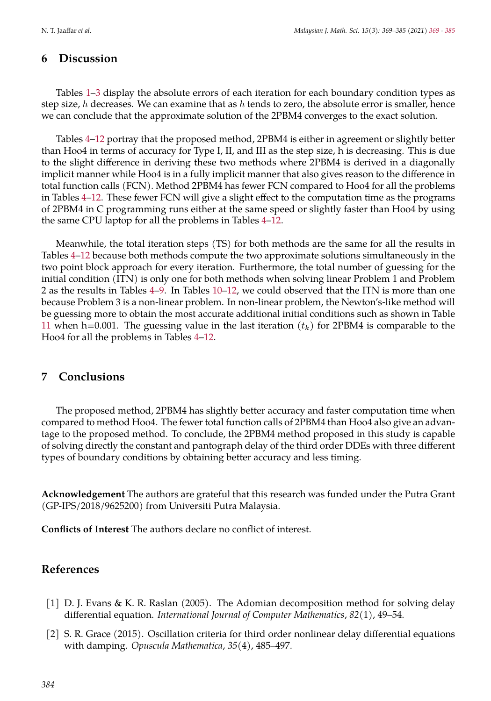### **6 Discussion**

Tables [1](#page-12-0)[–3](#page-12-1) display the absolute errors of each iteration for each boundary condition types as step size, h decreases. We can examine that as h tends to zero, the absolute error is smaller, hence we can conclude that the approximate solution of the 2PBM4 converges to the exact solution.

Tables [4](#page-13-0)[–12](#page-14-0) portray that the proposed method, 2PBM4 is either in agreement or slightly better than Hoo4 in terms of accuracy for Type I, II, and III as the step size, h is decreasing. This is due to the slight difference in deriving these two methods where 2PBM4 is derived in a diagonally implicit manner while Hoo4 is in a fully implicit manner that also gives reason to the difference in total function calls (FCN). Method 2PBM4 has fewer FCN compared to Hoo4 for all the problems in Tables [4–](#page-13-0)[12.](#page-14-0) These fewer FCN will give a slight effect to the computation time as the programs of 2PBM4 in C programming runs either at the same speed or slightly faster than Hoo4 by using the same CPU laptop for all the problems in Tables [4](#page-13-0)[–12.](#page-14-0)

Meanwhile, the total iteration steps (TS) for both methods are the same for all the results in Tables [4–](#page-13-0)[12](#page-14-0) because both methods compute the two approximate solutions simultaneously in the two point block approach for every iteration. Furthermore, the total number of guessing for the initial condition (ITN) is only one for both methods when solving linear Problem 1 and Problem 2 as the results in Tables [4–](#page-13-0)[9.](#page-14-1) In Tables [10](#page-14-2)[–12,](#page-14-0) we could observed that the ITN is more than one because Problem 3 is a non-linear problem. In non-linear problem, the Newton's-like method will be guessing more to obtain the most accurate additional initial conditions such as shown in Table [11](#page-14-3) when h=0.001. The guessing value in the last iteration  $(t_k)$  for 2PBM4 is comparable to the Hoo4 for all the problems in Tables [4](#page-13-0)[–12.](#page-14-0)

### **7 Conclusions**

The proposed method, 2PBM4 has slightly better accuracy and faster computation time when compared to method Hoo4. The fewer total function calls of 2PBM4 than Hoo4 also give an advantage to the proposed method. To conclude, the 2PBM4 method proposed in this study is capable of solving directly the constant and pantograph delay of the third order DDEs with three different types of boundary conditions by obtaining better accuracy and less timing.

**Acknowledgement** The authors are grateful that this research was funded under the Putra Grant (GP-IPS/2018/9625200) from Universiti Putra Malaysia.

**Conflicts of Interest** The authors declare no conflict of interest.

### **References**

- <span id="page-15-0"></span>[1] D. J. Evans & K. R. Raslan (2005). The Adomian decomposition method for solving delay differential equation. *International Journal of Computer Mathematics*, *82*(1), 49–54.
- <span id="page-15-1"></span>[2] S. R. Grace (2015). Oscillation criteria for third order nonlinear delay differential equations with damping. *Opuscula Mathematica*, *35*(4), 485–497.